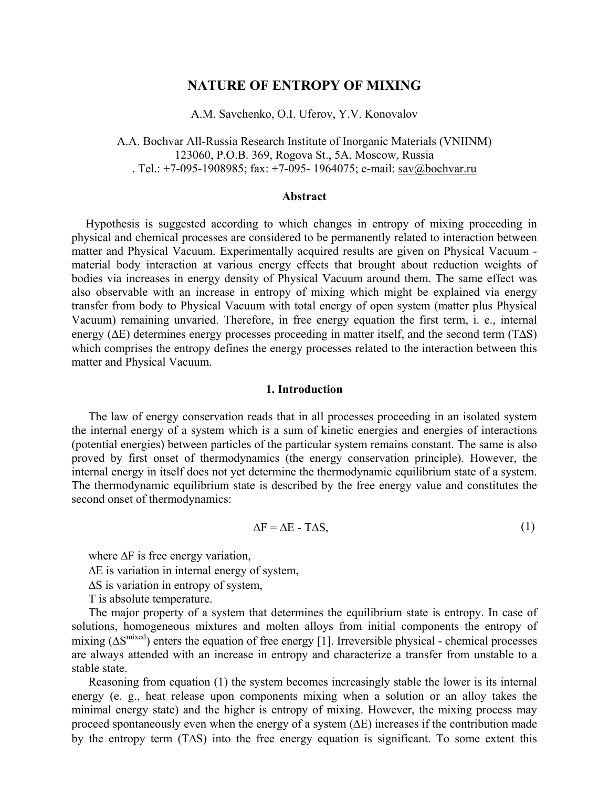# **NATURE OF ENTROPY OF MIXING**

A.M. Savchenko, O.I. Uferov, Y.V. Konovalov

A.A. Bochvar All-Russia Research Institute of Inorganic Materials (VNIINM) 123060, P.O.B. 369, Rogova St., 5A, Moscow, Russia . Tel.: +7-095-1908985; fax: +7-095- 1964075; e-mail: sav@bochvar.ru

### **Abstract**

Hypothesis is suggested according to which changes in entropy of mixing proceeding in physical and chemical processes are considered to be permanently related to interaction between matter and Physical Vacuum. Experimentally acquired results are given on Physical Vacuum material body interaction at various energy effects that brought about reduction weights of bodies via increases in energy density of Physical Vacuum around them. The same effect was also observable with an increase in entropy of mixing which might be explained via energy transfer from body to Physical Vacuum with total energy of open system (matter plus Physical Vacuum) remaining unvaried. Therefore, in free energy equation the first term, i. e., internal energy (∆E) determines energy processes proceeding in matter itself, and the second term (T∆S) which comprises the entropy defines the energy processes related to the interaction between this matter and Physical Vacuum.

#### **1. Introduction**

The law of energy conservation reads that in all processes proceeding in an isolated system the internal energy of a system which is a sum of kinetic energies and energies of interactions (potential energies) between particles of the particular system remains constant. The same is also proved by first onset of thermodynamics (the energy conservation principle). However, the internal energy in itself does not yet determine the thermodynamic equilibrium state of a system. The thermodynamic equilibrium state is described by the free energy value and constitutes the second onset of thermodynamics:

$$
\Delta F = \Delta E - T \Delta S, \qquad (1)
$$

where ∆F is free energy variation,

∆E is variation in internal energy of system,

∆S is variation in entropy of system,

T is absolute temperature.

The major property of a system that determines the equilibrium state is entropy. In case of solutions, homogeneous mixtures and molten alloys from initial components the entropy of mixing  $(\Delta S^{mixed})$  enters the equation of free energy [1]. Irreversible physical - chemical processes are always attended with an increase in entropy and characterize a transfer from unstable to a stable state.

Reasoning from equation (1) the system becomes increasingly stable the lower is its internal energy (e. g., heat release upon components mixing when a solution or an alloy takes the minimal energy state) and the higher is entropy of mixing. However, the mixing process may proceed spontaneously even when the energy of a system  $(\Delta E)$  increases if the contribution made by the entropy term (T∆S) into the free energy equation is significant. To some extent this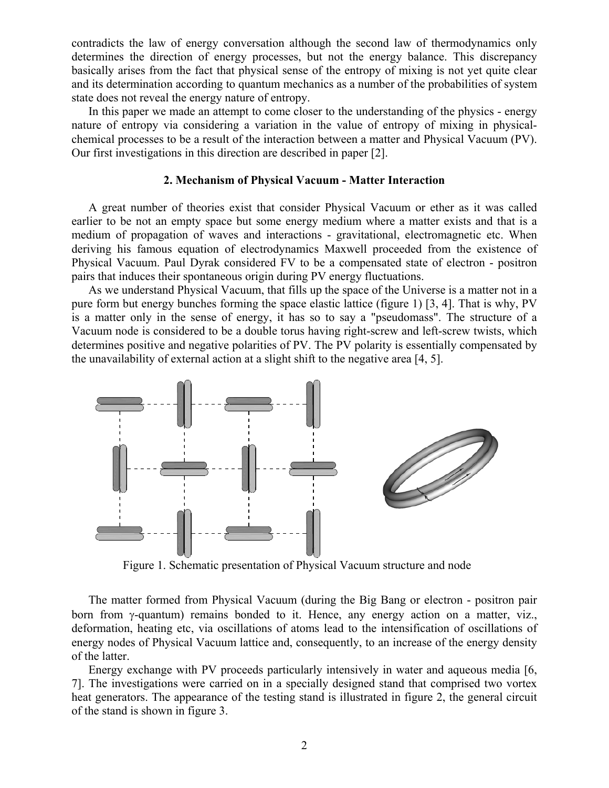contradicts the law of energy conversation although the second law of thermodynamics only determines the direction of energy processes, but not the energy balance. This discrepancy basically arises from the fact that physical sense of the entropy of mixing is not yet quite clear and its determination according to quantum mechanics as a number of the probabilities of system state does not reveal the energy nature of entropy.

In this paper we made an attempt to come closer to the understanding of the physics - energy nature of entropy via considering a variation in the value of entropy of mixing in physicalchemical processes to be a result of the interaction between a matter and Physical Vacuum (PV). Our first investigations in this direction are described in paper [2].

# **2. Mechanism of Physical Vacuum - Matter Interaction**

A great number of theories exist that consider Physical Vacuum or ether as it was called earlier to be not an empty space but some energy medium where a matter exists and that is a medium of propagation of waves and interactions - gravitational, electromagnetic etc. When deriving his famous equation of electrodynamics Maxwell proceeded from the existence of Physical Vacuum. Paul Dyrak considered FV to be a compensated state of electron - positron pairs that induces their spontaneous origin during PV energy fluctuations.

As we understand Physical Vacuum, that fills up the space of the Universe is a matter not in a pure form but energy bunches forming the space elastic lattice (figure 1) [3, 4]. That is why, PV is a matter only in the sense of energy, it has so to say a "pseudomass". The structure of a Vacuum node is considered to be a double torus having right-screw and left-screw twists, which determines positive and negative polarities of PV. The PV polarity is essentially compensated by the unavailability of external action at a slight shift to the negative area [4, 5].



Figure 1. Schematic presentation of Physical Vacuum structure and node

The matter formed from Physical Vacuum (during the Big Bang or electron - positron pair born from γ-quantum) remains bonded to it. Hence, any energy action on a matter, viz., deformation, heating etc, via oscillations of atoms lead to the intensification of oscillations of energy nodes of Physical Vacuum lattice and, consequently, to an increase of the energy density of the latter.

Energy exchange with PV proceeds particularly intensively in water and aqueous media [6, 7]. The investigations were carried on in a specially designed stand that comprised two vortex heat generators. The appearance of the testing stand is illustrated in figure 2, the general circuit of the stand is shown in figure 3.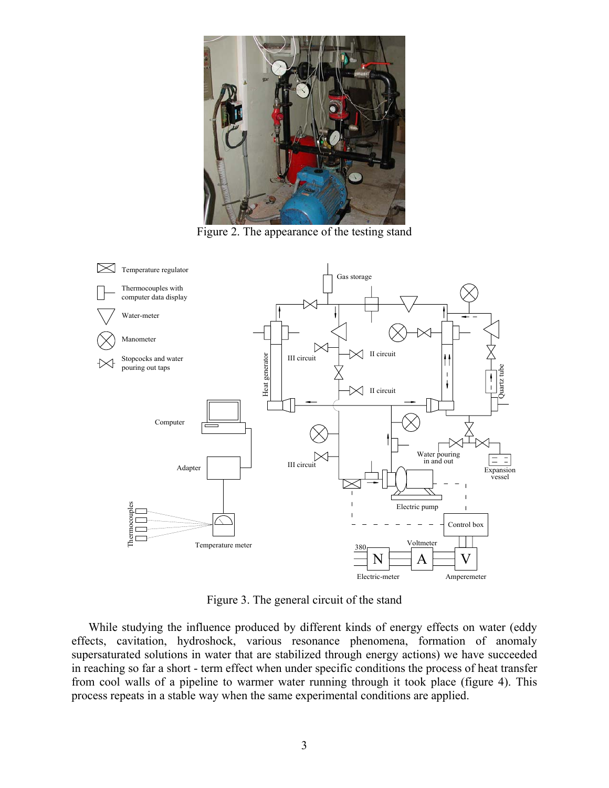

Figure 2. The appearance of the testing stand



Figure 3. The general circuit of the stand

While studying the influence produced by different kinds of energy effects on water (eddy effects, cavitation, hydroshock, various resonance phenomena, formation of anomaly supersaturated solutions in water that are stabilized through energy actions) we have succeeded in reaching so far a short - term effect when under specific conditions the process of heat transfer from cool walls of a pipeline to warmer water running through it took place (figure 4). This process repeats in a stable way when the same experimental conditions are applied.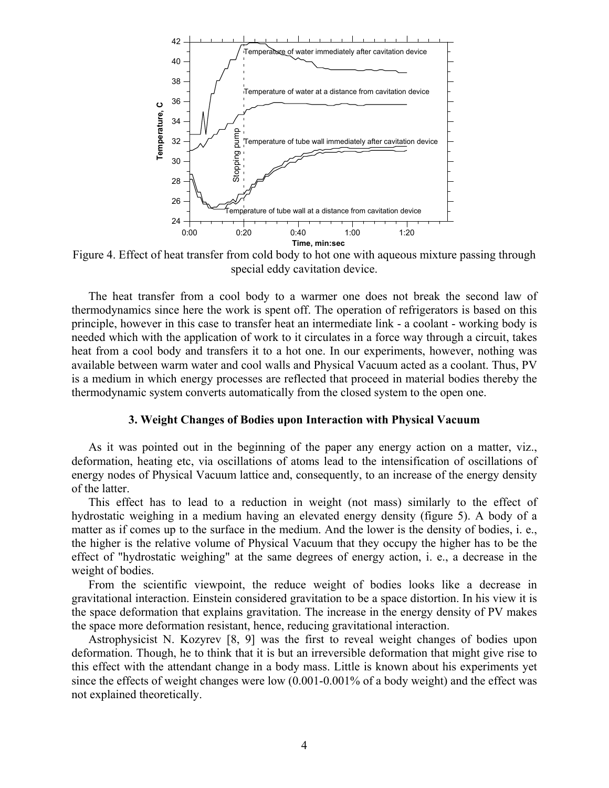

Figure 4. Effect of heat transfer from cold body to hot one with aqueous mixture passing through special eddy cavitation device.

The heat transfer from a cool body to a warmer one does not break the second law of thermodynamics since here the work is spent off. The operation of refrigerators is based on this principle, however in this case to transfer heat an intermediate link - a coolant - working body is needed which with the application of work to it circulates in a force way through a circuit, takes heat from a cool body and transfers it to a hot one. In our experiments, however, nothing was available between warm water and cool walls and Physical Vacuum acted as a coolant. Thus, PV is a medium in which energy processes are reflected that proceed in material bodies thereby the thermodynamic system converts automatically from the closed system to the open one.

#### **3. Weight Changes of Bodies upon Interaction with Physical Vacuum**

As it was pointed out in the beginning of the paper any energy action on a matter, viz., deformation, heating etc, via oscillations of atoms lead to the intensification of oscillations of energy nodes of Physical Vacuum lattice and, consequently, to an increase of the energy density of the latter.

This effect has to lead to a reduction in weight (not mass) similarly to the effect of hydrostatic weighing in a medium having an elevated energy density (figure 5). A body of a matter as if comes up to the surface in the medium. And the lower is the density of bodies, i. e., the higher is the relative volume of Physical Vacuum that they occupy the higher has to be the effect of "hydrostatic weighing" at the same degrees of energy action, i. e., a decrease in the weight of bodies.

From the scientific viewpoint, the reduce weight of bodies looks like a decrease in gravitational interaction. Einstein considered gravitation to be a space distortion. In his view it is the space deformation that explains gravitation. The increase in the energy density of PV makes the space more deformation resistant, hence, reducing gravitational interaction.

Astrophysicist N. Kozyrev [8, 9] was the first to reveal weight changes of bodies upon deformation. Though, he to think that it is but an irreversible deformation that might give rise to this effect with the attendant change in a body mass. Little is known about his experiments yet since the effects of weight changes were low (0.001-0.001% of a body weight) and the effect was not explained theoretically.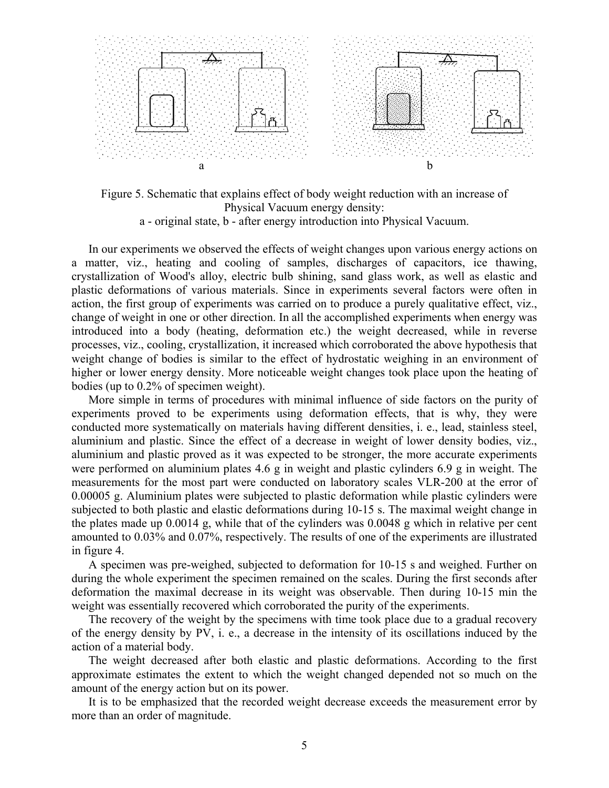

Figure 5. Schematic that explains effect of body weight reduction with an increase of Physical Vacuum energy density: a - original state, b - after energy introduction into Physical Vacuum.

In our experiments we observed the effects of weight changes upon various energy actions on a matter, viz., heating and cooling of samples, discharges of capacitors, ice thawing, crystallization of Wood's alloy, electric bulb shining, sand glass work, as well as elastic and plastic deformations of various materials. Since in experiments several factors were often in action, the first group of experiments was carried on to produce a purely qualitative effect, viz., change of weight in one or other direction. In all the accomplished experiments when energy was introduced into a body (heating, deformation etc.) the weight decreased, while in reverse processes, viz., cooling, crystallization, it increased which corroborated the above hypothesis that weight change of bodies is similar to the effect of hydrostatic weighing in an environment of higher or lower energy density. More noticeable weight changes took place upon the heating of bodies (up to 0.2% of specimen weight).

More simple in terms of procedures with minimal influence of side factors on the purity of experiments proved to be experiments using deformation effects, that is why, they were conducted more systematically on materials having different densities, i. e., lead, stainless steel, aluminium and plastic. Since the effect of a decrease in weight of lower density bodies, viz., aluminium and plastic proved as it was expected to be stronger, the more accurate experiments were performed on aluminium plates 4.6 g in weight and plastic cylinders 6.9 g in weight. The measurements for the most part were conducted on laboratory scales VLR-200 at the error of 0.00005 g. Aluminium plates were subjected to plastic deformation while plastic cylinders were subjected to both plastic and elastic deformations during 10-15 s. The maximal weight change in the plates made up 0.0014 g, while that of the cylinders was 0.0048 g which in relative per cent amounted to 0.03% and 0.07%, respectively. The results of one of the experiments are illustrated in figure 4.

A specimen was pre-weighed, subjected to deformation for 10-15 s and weighed. Further on during the whole experiment the specimen remained on the scales. During the first seconds after deformation the maximal decrease in its weight was observable. Then during 10-15 min the weight was essentially recovered which corroborated the purity of the experiments.

The recovery of the weight by the specimens with time took place due to a gradual recovery of the energy density by PV, i. e., a decrease in the intensity of its oscillations induced by the action of a material body.

The weight decreased after both elastic and plastic deformations. According to the first approximate estimates the extent to which the weight changed depended not so much on the amount of the energy action but on its power.

It is to be emphasized that the recorded weight decrease exceeds the measurement error by more than an order of magnitude.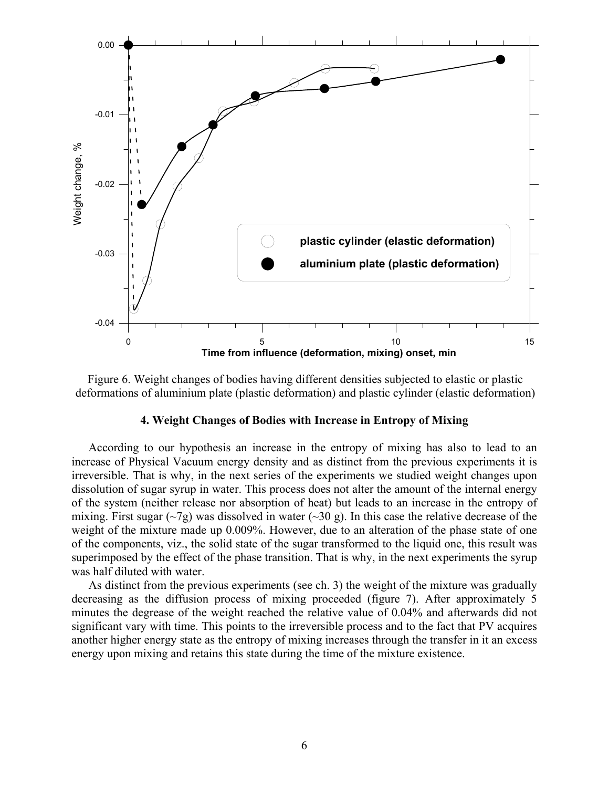

Figure 6. Weight changes of bodies having different densities subjected to elastic or plastic deformations of aluminium plate (plastic deformation) and plastic cylinder (elastic deformation)

### **4. Weight Changes of Bodies with Increase in Entropy of Mixing**

According to our hypothesis an increase in the entropy of mixing has also to lead to an increase of Physical Vacuum energy density and as distinct from the previous experiments it is irreversible. That is why, in the next series of the experiments we studied weight changes upon dissolution of sugar syrup in water. This process does not alter the amount of the internal energy of the system (neither release nor absorption of heat) but leads to an increase in the entropy of mixing. First sugar ( $\sim$ 7g) was dissolved in water ( $\sim$ 30 g). In this case the relative decrease of the weight of the mixture made up 0.009%. However, due to an alteration of the phase state of one of the components, viz., the solid state of the sugar transformed to the liquid one, this result was superimposed by the effect of the phase transition. That is why, in the next experiments the syrup was half diluted with water.

As distinct from the previous experiments (see ch. 3) the weight of the mixture was gradually decreasing as the diffusion process of mixing proceeded (figure 7). After approximately 5 minutes the degrease of the weight reached the relative value of 0.04% and afterwards did not significant vary with time. This points to the irreversible process and to the fact that PV acquires another higher energy state as the entropy of mixing increases through the transfer in it an excess energy upon mixing and retains this state during the time of the mixture existence.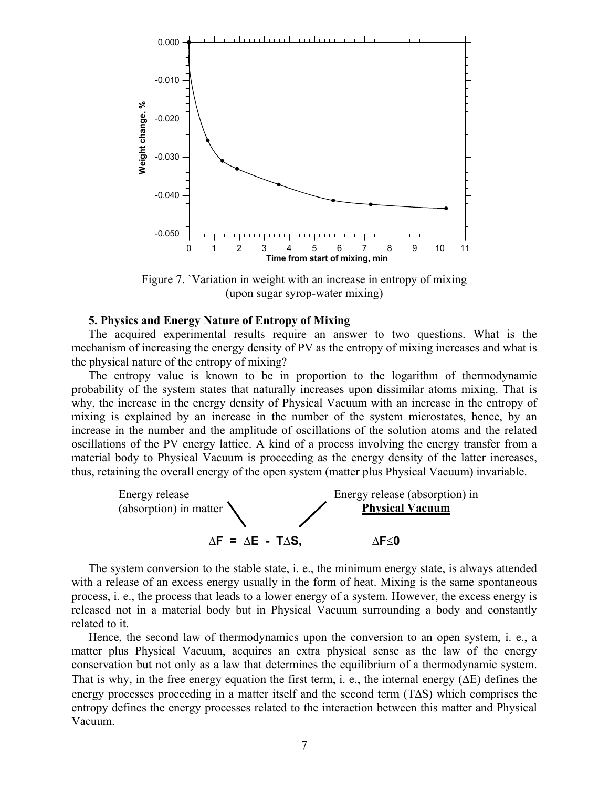

Figure 7. `Variation in weight with an increase in entropy of mixing (upon sugar syrop-water mixing)

### **5. Physics and Energy Nature of Entropy of Mixing**

The acquired experimental results require an answer to two questions. What is the mechanism of increasing the energy density of PV as the entropy of mixing increases and what is the physical nature of the entropy of mixing?

The entropy value is known to be in proportion to the logarithm of thermodynamic probability of the system states that naturally increases upon dissimilar atoms mixing. That is why, the increase in the energy density of Physical Vacuum with an increase in the entropy of mixing is explained by an increase in the number of the system microstates, hence, by an increase in the number and the amplitude of oscillations of the solution atoms and the related oscillations of the PV energy lattice. A kind of a process involving the energy transfer from a material body to Physical Vacuum is proceeding as the energy density of the latter increases, thus, retaining the overall energy of the open system (matter plus Physical Vacuum) invariable.



The system conversion to the stable state, i. e., the minimum energy state, is always attended with a release of an excess energy usually in the form of heat. Mixing is the same spontaneous process, i. e., the process that leads to a lower energy of a system. However, the excess energy is released not in a material body but in Physical Vacuum surrounding a body and constantly related to it.

Hence, the second law of thermodynamics upon the conversion to an open system, i. e., a matter plus Physical Vacuum, acquires an extra physical sense as the law of the energy conservation but not only as a law that determines the equilibrium of a thermodynamic system. That is why, in the free energy equation the first term, i. e., the internal energy (∆E) defines the energy processes proceeding in a matter itself and the second term (T∆S) which comprises the entropy defines the energy processes related to the interaction between this matter and Physical Vacuum.